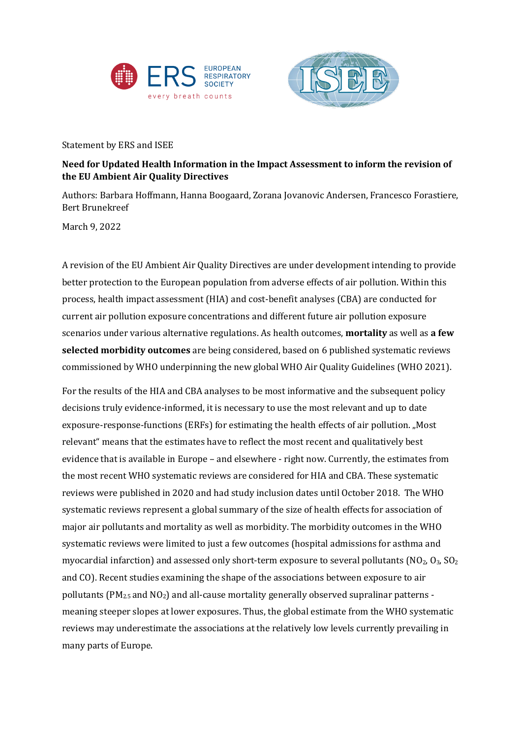



Statement by ERS and ISEE

## **Need for Updated Health Information in the Impact Assessment to inform the revision of the EU Ambient Air Quality Directives**

Authors: Barbara Hoffmann, Hanna Boogaard, Zorana Jovanovic Andersen, Francesco Forastiere, Bert Brunekreef

March 9, 2022

A revision of the EU Ambient Air Quality Directives are under development intending to provide better protection to the European population from adverse effects of air pollution. Within this process, health impact assessment (HIA) and cost-benefit analyses (CBA) are conducted for current air pollution exposure concentrations and different future air pollution exposure scenarios under various alternative regulations. As health outcomes, **mortality** as well as **a few selected morbidity outcomes** are being considered, based on 6 published systematic reviews commissioned by WHO underpinning the new global WHO Air Quality Guidelines (WHO 2021).

For the results of the HIA and CBA analyses to be most informative and the subsequent policy decisions truly evidence-informed, it is necessary to use the most relevant and up to date exposure-response-functions (ERFs) for estimating the health effects of air pollution. "Most relevant" means that the estimates have to reflect the most recent and qualitatively best evidence that is available in Europe – and elsewhere - right now. Currently, the estimates from the most recent WHO systematic reviews are considered for HIA and CBA. These systematic reviews were published in 2020 and had study inclusion dates until October 2018. The WHO systematic reviews represent a global summary of the size of health effects for association of major air pollutants and mortality as well as morbidity. The morbidity outcomes in the WHO systematic reviews were limited to just a few outcomes (hospital admissions for asthma and myocardial infarction) and assessed only short-term exposure to several pollutants  $(NO<sub>2</sub>, O<sub>3</sub>, SO<sub>2</sub>)$ and CO). Recent studies examining the shape of the associations between exposure to air pollutants  $(PM<sub>2.5</sub>$  and NO<sub>2</sub>) and all-cause mortality generally observed supralinar patterns meaning steeper slopes at lower exposures. Thus, the global estimate from the WHO systematic reviews may underestimate the associations at the relatively low levels currently prevailing in many parts of Europe.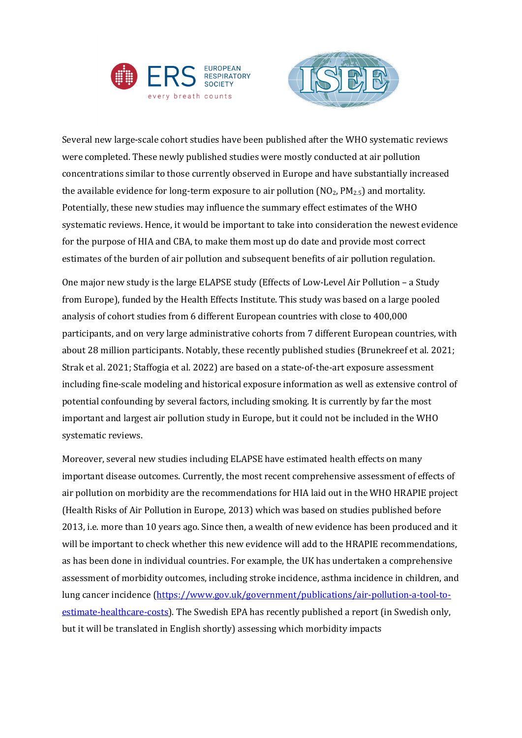



Several new large-scale cohort studies have been published after the WHO systematic reviews were completed. These newly published studies were mostly conducted at air pollution concentrations similar to those currently observed in Europe and have substantially increased the available evidence for long-term exposure to air pollution  $NO<sub>2</sub>$ ,  $PM<sub>2.5</sub>$ ) and mortality. Potentially, these new studies may influence the summary effect estimates of the WHO systematic reviews. Hence, it would be important to take into consideration the newest evidence for the purpose of HIA and CBA, to make them most up do date and provide most correct estimates of the burden of air pollution and subsequent benefits of air pollution regulation.

One major new study is the large ELAPSE study (Effects of Low-Level Air Pollution – a Study from Europe), funded by the Health Effects Institute. This study was based on a large pooled analysis of cohort studies from 6 different European countries with close to 400,000 participants, and on very large administrative cohorts from 7 different European countries, with about 28 million participants. Notably, these recently published studies (Brunekreef et al. 2021; Strak et al. 2021; Staffogia et al. 2022) are based on a state-of-the-art exposure assessment including fine-scale modeling and historical exposure information as well as extensive control of potential confounding by several factors, including smoking. It is currently by far the most important and largest air pollution study in Europe, but it could not be included in the WHO systematic reviews.

Moreover, several new studies including ELAPSE have estimated health effects on many important disease outcomes. Currently, the most recent comprehensive assessment of effects of air pollution on morbidity are the recommendations for HIA laid out in the WHO HRAPIE project (Health Risks of Air Pollution in Europe, 2013) which was based on studies published before 2013, i.e. more than 10 years ago. Since then, a wealth of new evidence has been produced and it will be important to check whether this new evidence will add to the HRAPIE recommendations, as has been done in individual countries. For example, the UK has undertaken a comprehensive assessment of morbidity outcomes, including stroke incidence, asthma incidence in children, and lung cancer incidence [\(https://www.gov.uk/government/publications/air-pollution-a-tool-to](https://www.gov.uk/government/publications/air-pollution-a-tool-to-estimate-healthcare-costs)[estimate-healthcare-costs\)](https://www.gov.uk/government/publications/air-pollution-a-tool-to-estimate-healthcare-costs). The Swedish EPA has recently published a report (in Swedish only, but it will be translated in English shortly) assessing which morbidity impacts